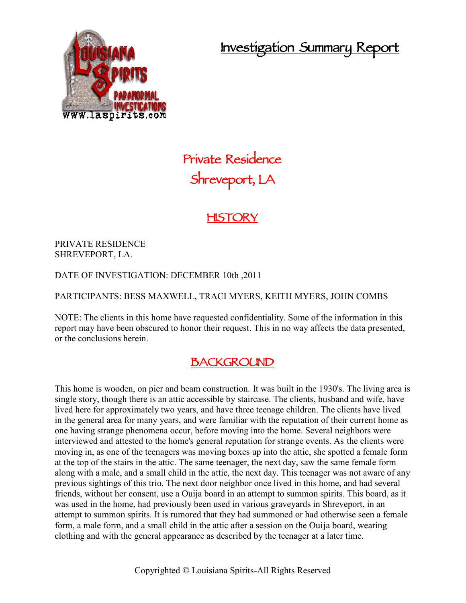**Investigation Summary Report**



# **Private Residence Shreveport, LA**

### **HISTORY**

PRIVATE RESIDENCE SHREVEPORT, LA.

DATE OF INVESTIGATION: DECEMBER 10th ,2011

PARTICIPANTS: BESS MAXWELL, TRACI MYERS, KEITH MYERS, JOHN COMBS

NOTE: The clients in this home have requested confidentiality. Some of the information in this report may have been obscured to honor their request. This in no way affects the data presented, or the conclusions herein.

### **BACKGROUND**

This home is wooden, on pier and beam construction. It was built in the 1930's. The living area is single story, though there is an attic accessible by staircase. The clients, husband and wife, have lived here for approximately two years, and have three teenage children. The clients have lived in the general area for many years, and were familiar with the reputation of their current home as one having strange phenomena occur, before moving into the home. Several neighbors were interviewed and attested to the home's general reputation for strange events. As the clients were moving in, as one of the teenagers was moving boxes up into the attic, she spotted a female form at the top of the stairs in the attic. The same teenager, the next day, saw the same female form along with a male, and a small child in the attic, the next day. This teenager was not aware of any previous sightings of this trio. The next door neighbor once lived in this home, and had several friends, without her consent, use a Ouija board in an attempt to summon spirits. This board, as it was used in the home, had previously been used in various graveyards in Shreveport, in an attempt to summon spirits. It is rumored that they had summoned or had otherwise seen a female form, a male form, and a small child in the attic after a session on the Ouija board, wearing clothing and with the general appearance as described by the teenager at a later time.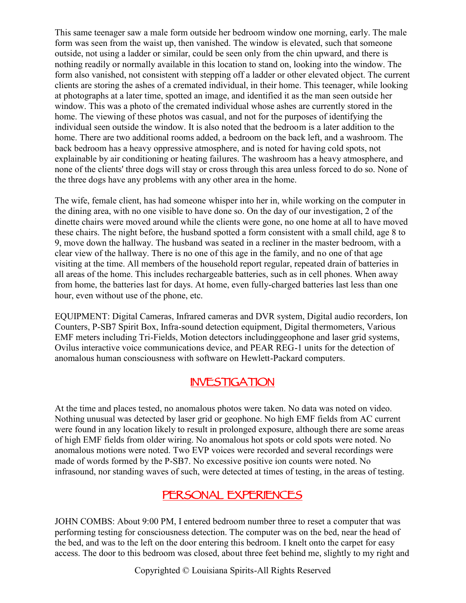This same teenager saw a male form outside her bedroom window one morning, early. The male form was seen from the waist up, then vanished. The window is elevated, such that someone outside, not using a ladder or similar, could be seen only from the chin upward, and there is nothing readily or normally available in this location to stand on, looking into the window. The form also vanished, not consistent with stepping off a ladder or other elevated object. The current clients are storing the ashes of a cremated individual, in their home. This teenager, while looking at photographs at a later time, spotted an image, and identified it as the man seen outside her window. This was a photo of the cremated individual whose ashes are currently stored in the home. The viewing of these photos was casual, and not for the purposes of identifying the individual seen outside the window. It is also noted that the bedroom is a later addition to the home. There are two additional rooms added, a bedroom on the back left, and a washroom. The back bedroom has a heavy oppressive atmosphere, and is noted for having cold spots, not explainable by air conditioning or heating failures. The washroom has a heavy atmosphere, and none of the clients' three dogs will stay or cross through this area unless forced to do so. None of the three dogs have any problems with any other area in the home.

The wife, female client, has had someone whisper into her in, while working on the computer in the dining area, with no one visible to have done so. On the day of our investigation, 2 of the dinette chairs were moved around while the clients were gone, no one home at all to have moved these chairs. The night before, the husband spotted a form consistent with a small child, age 8 to 9, move down the hallway. The husband was seated in a recliner in the master bedroom, with a clear view of the hallway. There is no one of this age in the family, and no one of that age visiting at the time. All members of the household report regular, repeated drain of batteries in all areas of the home. This includes rechargeable batteries, such as in cell phones. When away from home, the batteries last for days. At home, even fully-charged batteries last less than one hour, even without use of the phone, etc.

EQUIPMENT: Digital Cameras, Infrared cameras and DVR system, Digital audio recorders, Ion Counters, P-SB7 Spirit Box, Infra-sound detection equipment, Digital thermometers, Various EMF meters including Tri-Fields, Motion detectors includinggeophone and laser grid systems, Ovilus interactive voice communications device, and PEAR REG-1 units for the detection of anomalous human consciousness with software on Hewlett-Packard computers.

### **INVESTIGATION**

At the time and places tested, no anomalous photos were taken. No data was noted on video. Nothing unusual was detected by laser grid or geophone. No high EMF fields from AC current were found in any location likely to result in prolonged exposure, although there are some areas of high EMF fields from older wiring. No anomalous hot spots or cold spots were noted. No anomalous motions were noted. Two EVP voices were recorded and several recordings were made of words formed by the P-SB7. No excessive positive ion counts were noted. No infrasound, nor standing waves of such, were detected at times of testing, in the areas of testing.

### **PERSONAL EXPERIENCES**

JOHN COMBS: About 9:00 PM, I entered bedroom number three to reset a computer that was performing testing for consciousness detection. The computer was on the bed, near the head of the bed, and was to the left on the door entering this bedroom. I knelt onto the carpet for easy access. The door to this bedroom was closed, about three feet behind me, slightly to my right and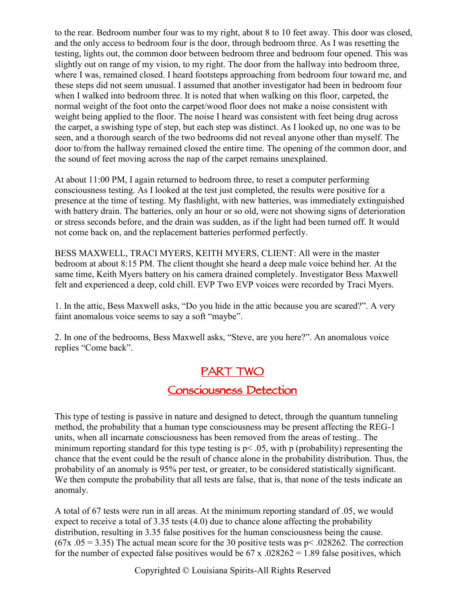to the rear. Bedroom number four was to my right, about 8 to 10 feet away. This door was closed, and the only access to bedroom four is the door, through bedroom three. As I was resetting the testing, lights out, the common door between bedroom three and bedroom four opened. This was slightly out on range of my vision, to my right. The door from the hallway into bedroom three, where I was, remained closed. I heard footsteps approaching from bedroom four toward me, and these steps did not seem unusual. I assumed that another investigator had been in bedroom four when I walked into bedroom three. It is noted that when walking on this floor, carpeted, the normal weight of the foot onto the carpet/wood floor does not make a noise consistent with weight being applied to the floor. The noise I heard was consistent with feet being drug across the carpet, a swishing type of step, but each step was distinct. As I looked up, no one was to be seen, and a thorough search of the two bedrooms did not reveal anyone other than myself. The door to/from the hallway remained closed the entire time. The opening of the common door, and the sound of feet moving across the nap of the carpet remains unexplained.

At about 11:00 PM, I again returned to bedroom three, to reset a computer performing consciousness testing. As I looked at the test just completed, the results were positive for a presence at the time of testing. My flashlight, with new batteries, was immediately extinguished with battery drain. The batteries, only an hour or so old, were not showing signs of deterioration or stress seconds before, and the drain was sudden, as if the light had been turned off. It would not come back on, and the replacement batteries performed perfectly.

BESS MAXWELL, TRACI MYERS, KEITH MYERS, CLIENT: All were in the master bedroom at about 8:15 PM. The client thought she heard a deep male voice behind her. At the same time, Keith Myers battery on his camera drained completely. Investigator Bess Maxwell felt and experienced a deep, cold chill. EVP Two EVP voices were recorded by Traci Myers.

1. In the attic, Bess Maxwell asks, "Do you hide in the attic because you are scared?". A very faint anomalous voice seems to say a soft "maybe".

2. In one of the bedrooms, Bess Maxwell asks, "Steve, are you here?". An anomalous voice replies "Come back".

### **PART TWO**

## **Consciousness Detection**

This type of testing is passive in nature and designed to detect, through the quantum tunneling method, the probability that a human type consciousness may be present affecting the REG-1 units, when all incarnate consciousness has been removed from the areas of testing.. The minimum reporting standard for this type testing is  $p$  < .05, with p (probability) representing the chance that the event could be the result of chance alone in the probability distribution. Thus, the probability of an anomaly is 95% per test, or greater, to be considered statistically significant. We then compute the probability that all tests are false, that is, that none of the tests indicate an anomaly.

A total of 67 tests were run in all areas. At the minimum reporting standard of .05, we would expect to receive a total of 3.35 tests (4.0) due to chance alone affecting the probability distribution, resulting in 3.35 false positives for the human consciousness being the cause.  $(67x, 05 = 3.35)$  The actual mean score for the 30 positive tests was p< .028262. The correction for the number of expected false positives would be  $67 \times 0.028262 = 1.89$  false positives, which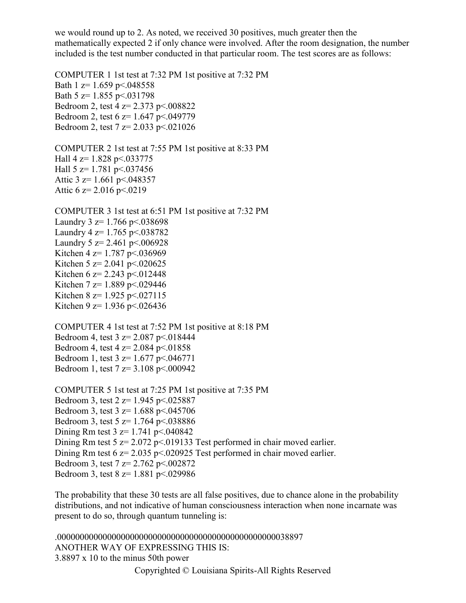we would round up to 2. As noted, we received 30 positives, much greater then the mathematically expected 2 if only chance were involved. After the room designation, the number included is the test number conducted in that particular room. The test scores are as follows:

COMPUTER 1 1st test at 7:32 PM 1st positive at 7:32 PM Bath 1  $z=1.659$  p $\leq 0.048558$ Bath 5  $z=1.855$  p $\leq$ .031798 Bedroom 2, test 4 z= 2.373 p<.008822 Bedroom 2, test 6 z= 1.647 p<.049779 Bedroom 2, test 7 z= 2.033 p<.021026

COMPUTER 2 1st test at 7:55 PM 1st positive at 8:33 PM Hall 4 z=  $1.828$  p  $\leq$  033775 Hall  $5 \text{ z} = 1.781 \text{ p} \leq 0.037456$ Attic 3  $z=1.661$  p<.048357 Attic 6  $z=$  2.016 p < 0219

COMPUTER 3 1st test at 6:51 PM 1st positive at 7:32 PM Laundry  $3 \text{ z} = 1.766 \text{ p} \leq 0.038698$ Laundry 4  $z=1.765$  p $\leq$  038782 Laundry 5  $z = 2.461$  p < 006928 Kitchen 4 z= 1.787 p<.036969 Kitchen 5 z= 2.041 p <.020625 Kitchen 6 z= 2.243 p < 0.012448 Kitchen 7 z= 1.889 p<.029446 Kitchen 8 z=  $1.925$  p<.027115 Kitchen 9 z= 1.936 p<.026436

COMPUTER 4 1st test at 7:52 PM 1st positive at 8:18 PM Bedroom 4, test  $3 \text{ z} = 2.087 \text{ p} \le 0.018444$ Bedroom 4, test  $4 \text{ z} = 2.084 \text{ p} \le 0.01858$ Bedroom 1, test 3 z= 1.677 p<.046771 Bedroom 1, test 7 z= 3.108 p<.000942

COMPUTER 5 1st test at 7:25 PM 1st positive at 7:35 PM Bedroom 3, test 2 z= 1.945 p<.025887 Bedroom 3, test 3 z= 1.688 p<.045706 Bedroom 3, test 5 z= 1.764 p<.038886 Dining Rm test  $3 \text{ z} = 1.741 \text{ p} \leq 0.00842$ Dining Rm test 5 z= 2.072 p<.019133 Test performed in chair moved earlier. Dining Rm test 6 z= 2.035 p < 0.020925 Test performed in chair moved earlier. Bedroom 3, test 7 z= 2.762 p<.002872 Bedroom 3, test 8 z= 1.881 p<.029986

The probability that these 30 tests are all false positives, due to chance alone in the probability distributions, and not indicative of human consciousness interaction when none incarnate was present to do so, through quantum tunneling is:

.000000000000000000000000000000000000000000000000038897 ANOTHER WAY OF EXPRESSING THIS IS: 3.8897 x 10 to the minus 50th power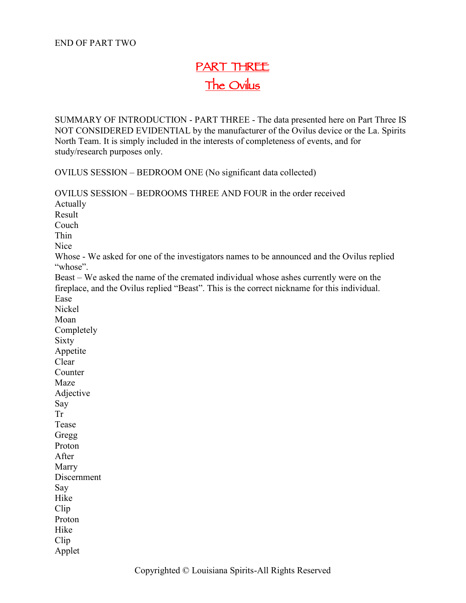### **PART THREE The Ovilus**

SUMMARY OF INTRODUCTION - PART THREE - The data presented here on Part Three IS NOT CONSIDERED EVIDENTIAL by the manufacturer of the Ovilus device or the La. Spirits North Team. It is simply included in the interests of completeness of events, and for study/research purposes only.

OVILUS SESSION – BEDROOM ONE (No significant data collected)

OVILUS SESSION – BEDROOMS THREE AND FOUR in the order received Actually Result Couch Thin **Nice** Whose - We asked for one of the investigators names to be announced and the Ovilus replied "whose". Beast – We asked the name of the cremated individual whose ashes currently were on the fireplace, and the Ovilus replied "Beast". This is the correct nickname for this individual. Ease Nickel Moan Completely Sixty Appetite Clear **Counter** Maze Adjective Say Tr Tease Gregg Proton After Marry Discernment Say Hike Clip Proton Hike Clip Applet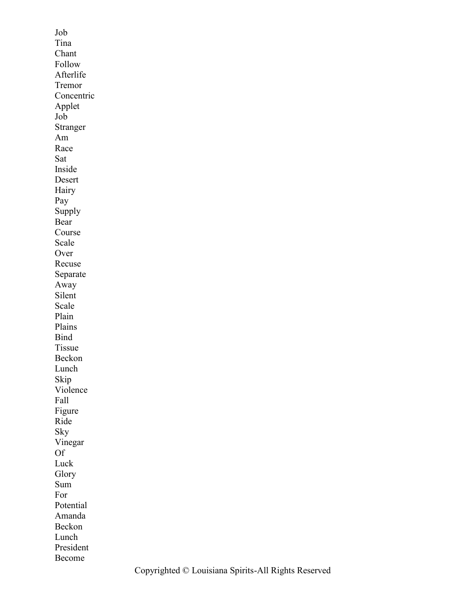Job Tina Chant Follow Afterlife Tremor Concentric Applet Job Stranger Am Race Sat Inside Desert Hairy Pay Supply Bear Course Scale Over Recuse Separate Away Silent Scale Plain Plains Bind Tissue Beckon Lunch Skip Violence Fall Figure Ride Sky Vinegar Of Luck Glory Sum For Potential Amanda Beckon Lunch President Become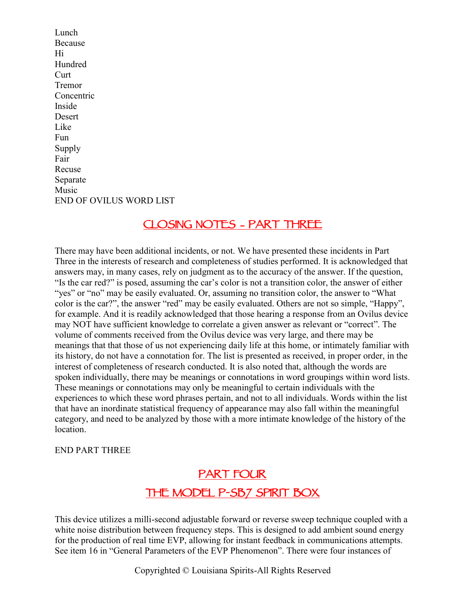Lunch Because Hi Hundred Curt Tremor **Concentric** Inside Desert Like Fun **Supply** Fair Recuse Separate Music END OF OVILUS WORD LIST

### **CLOSING NOTES – PART THREE**

There may have been additional incidents, or not. We have presented these incidents in Part Three in the interests of research and completeness of studies performed. It is acknowledged that answers may, in many cases, rely on judgment as to the accuracy of the answer. If the question, "Is the car red?" is posed, assuming the car's color is not a transition color, the answer of either "yes" or "no" may be easily evaluated. Or, assuming no transition color, the answer to "What color is the car?", the answer "red" may be easily evaluated. Others are not so simple, "Happy", for example. And it is readily acknowledged that those hearing a response from an Ovilus device may NOT have sufficient knowledge to correlate a given answer as relevant or "correct". The volume of comments received from the Ovilus device was very large, and there may be meanings that that those of us not experiencing daily life at this home, or intimately familiar with its history, do not have a connotation for. The list is presented as received, in proper order, in the interest of completeness of research conducted. It is also noted that, although the words are spoken individually, there may be meanings or connotations in word groupings within word lists. These meanings or connotations may only be meaningful to certain individuals with the experiences to which these word phrases pertain, and not to all individuals. Words within the list that have an inordinate statistical frequency of appearance may also fall within the meaningful category, and need to be analyzed by those with a more intimate knowledge of the history of the location.

END PART THREE

### **PART FOUR THE MODEL P-SB7 SPIRIT BOX**

This device utilizes a milli-second adjustable forward or reverse sweep technique coupled with a white noise distribution between frequency steps. This is designed to add ambient sound energy for the production of real time EVP, allowing for instant feedback in communications attempts. See item 16 in "General Parameters of the EVP Phenomenon". There were four instances of